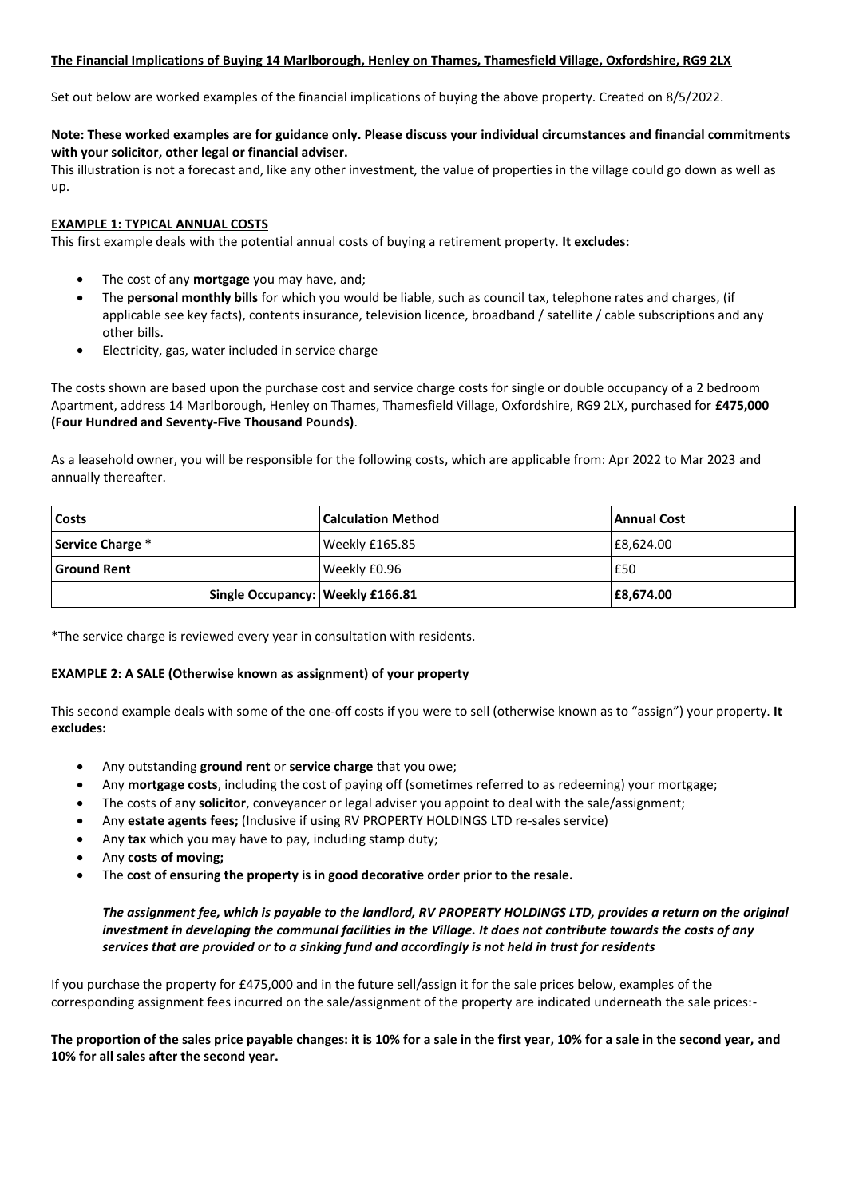# **The Financial Implications of Buying 14 Marlborough, Henley on Thames, Thamesfield Village, Oxfordshire, RG9 2LX**

Set out below are worked examples of the financial implications of buying the above property. Created on 8/5/2022.

# **Note: These worked examples are for guidance only. Please discuss your individual circumstances and financial commitments with your solicitor, other legal or financial adviser.**

This illustration is not a forecast and, like any other investment, the value of properties in the village could go down as well as up.

# **EXAMPLE 1: TYPICAL ANNUAL COSTS**

This first example deals with the potential annual costs of buying a retirement property. **It excludes:**

- The cost of any **mortgage** you may have, and;
- The **personal monthly bills** for which you would be liable, such as council tax, telephone rates and charges, (if applicable see key facts), contents insurance, television licence, broadband / satellite / cable subscriptions and any other bills.
- Electricity, gas, water included in service charge

The costs shown are based upon the purchase cost and service charge costs for single or double occupancy of a 2 bedroom Apartment, address 14 Marlborough, Henley on Thames, Thamesfield Village, Oxfordshire, RG9 2LX, purchased for **£475,000 (Four Hundred and Seventy-Five Thousand Pounds)**.

As a leasehold owner, you will be responsible for the following costs, which are applicable from: Apr 2022 to Mar 2023 and annually thereafter.

| Costs                            | <b>Calculation Method</b> | <b>Annual Cost</b> |
|----------------------------------|---------------------------|--------------------|
| Service Charge *                 | Weekly £165.85            | £8,624.00          |
| <b>Ground Rent</b>               | Weekly £0.96              | £50                |
| Single Occupancy: Weekly £166.81 |                           | £8,674.00          |

\*The service charge is reviewed every year in consultation with residents.

# **EXAMPLE 2: A SALE (Otherwise known as assignment) of your property**

This second example deals with some of the one-off costs if you were to sell (otherwise known as to "assign") your property. **It excludes:**

- Any outstanding **ground rent** or **service charge** that you owe;
- Any **mortgage costs**, including the cost of paying off (sometimes referred to as redeeming) your mortgage;
- The costs of any **solicitor**, conveyancer or legal adviser you appoint to deal with the sale/assignment;
- Any **estate agents fees;** (Inclusive if using RV PROPERTY HOLDINGS LTD re-sales service)
- Any **tax** which you may have to pay, including stamp duty;
- Any **costs of moving;**
- The **cost of ensuring the property is in good decorative order prior to the resale.**

# *The assignment fee, which is payable to the landlord, RV PROPERTY HOLDINGS LTD, provides a return on the original investment in developing the communal facilities in the Village. It does not contribute towards the costs of any services that are provided or to a sinking fund and accordingly is not held in trust for residents*

If you purchase the property for £475,000 and in the future sell/assign it for the sale prices below, examples of the corresponding assignment fees incurred on the sale/assignment of the property are indicated underneath the sale prices:-

**The proportion of the sales price payable changes: it is 10% for a sale in the first year, 10% for a sale in the second year, and 10% for all sales after the second year.**